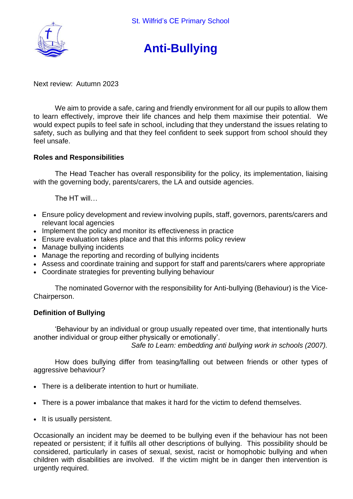

# **Anti-Bullying**

Next review: Autumn 2023

We aim to provide a safe, caring and friendly environment for all our pupils to allow them to learn effectively, improve their life chances and help them maximise their potential. We would expect pupils to feel safe in school, including that they understand the issues relating to safety, such as bullying and that they feel confident to seek support from school should they feel unsafe.

#### **Roles and Responsibilities**

The Head Teacher has overall responsibility for the policy, its implementation, liaising with the governing body, parents/carers, the LA and outside agencies.

The HT will…

- Ensure policy development and review involving pupils, staff, governors, parents/carers and relevant local agencies
- Implement the policy and monitor its effectiveness in practice
- Ensure evaluation takes place and that this informs policy review
- Manage bullying incidents
- Manage the reporting and recording of bullying incidents
- Assess and coordinate training and support for staff and parents/carers where appropriate
- Coordinate strategies for preventing bullying behaviour

The nominated Governor with the responsibility for Anti-bullying (Behaviour) is the Vice-Chairperson.

#### **Definition of Bullying**

'Behaviour by an individual or group usually repeated over time, that intentionally hurts another individual or group either physically or emotionally'.

*Safe to Learn: embedding anti bullying work in schools (2007).*

How does bullying differ from teasing/falling out between friends or other types of aggressive behaviour?

- There is a deliberate intention to hurt or humiliate.
- There is a power imbalance that makes it hard for the victim to defend themselves.
- It is usually persistent.

Occasionally an incident may be deemed to be bullying even if the behaviour has not been repeated or persistent; if it fulfils all other descriptions of bullying. This possibility should be considered, particularly in cases of sexual, sexist, racist or homophobic bullying and when children with disabilities are involved. If the victim might be in danger then intervention is urgently required.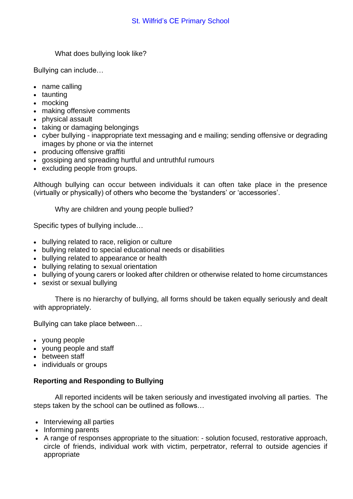What does bullying look like?

Bullying can include…

- name calling
- taunting
- mocking
- making offensive comments
- physical assault
- taking or damaging belongings
- cyber bullying inappropriate text messaging and e mailing; sending offensive or degrading images by phone or via the internet
- producing offensive graffiti
- gossiping and spreading hurtful and untruthful rumours
- excluding people from groups.

Although bullying can occur between individuals it can often take place in the presence (virtually or physically) of others who become the 'bystanders' or 'accessories'.

Why are children and young people bullied?

Specific types of bullying include…

- bullying related to race, religion or culture
- bullying related to special educational needs or disabilities
- bullying related to appearance or health
- bullying relating to sexual orientation
- bullying of young carers or looked after children or otherwise related to home circumstances
- sexist or sexual bullying

There is no hierarchy of bullying, all forms should be taken equally seriously and dealt with appropriately.

Bullying can take place between…

- young people
- young people and staff
- between staff
- individuals or groups

# **Reporting and Responding to Bullying**

All reported incidents will be taken seriously and investigated involving all parties. The steps taken by the school can be outlined as follows…

- Interviewing all parties
- Informing parents
- A range of responses appropriate to the situation: solution focused, restorative approach, circle of friends, individual work with victim, perpetrator, referral to outside agencies if appropriate